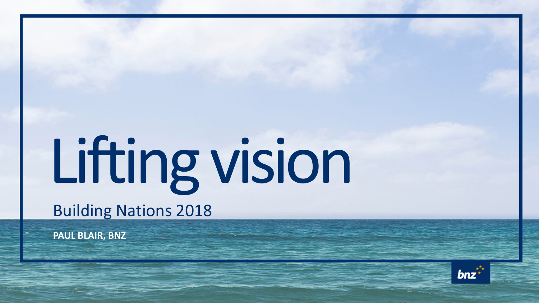## Lifting vision Building Nations 2018

**PAUL BLAIR, BNZ**

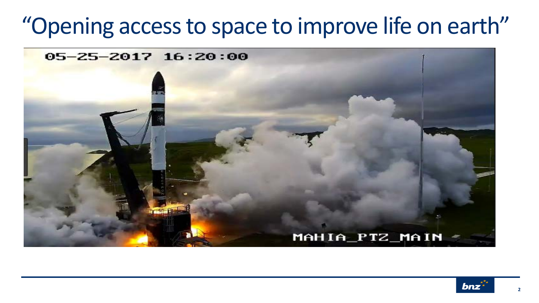## "Opening access to space to improve life on earth"



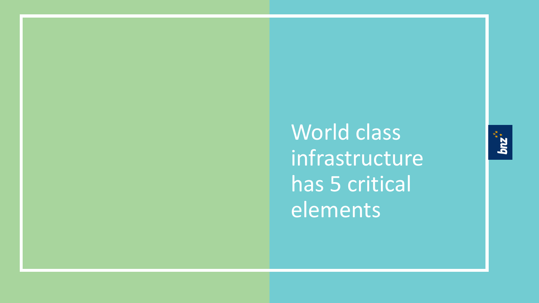World class infrastructure has 5 critical elements

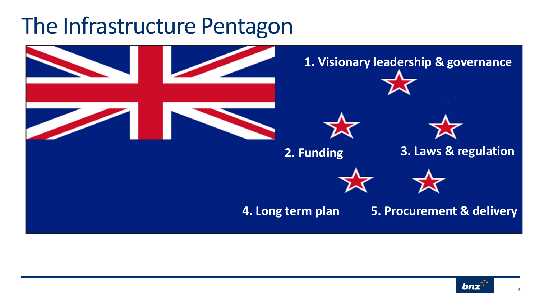## The Infrastructure Pentagon



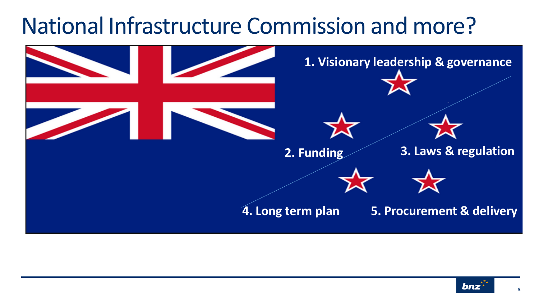## National Infrastructure Commission and more?



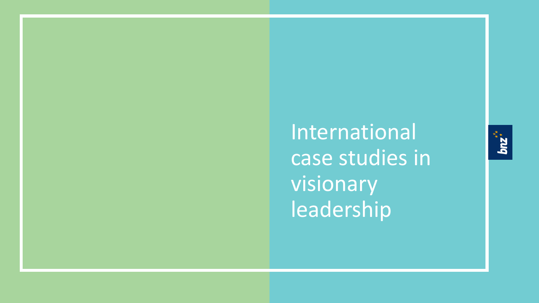International case studies in visionary leadership

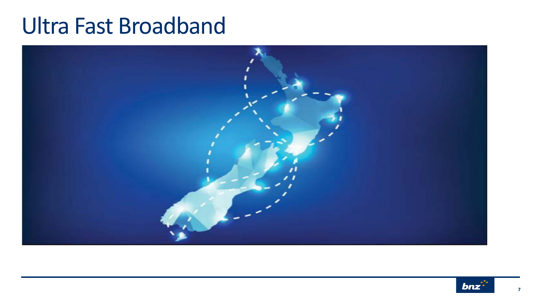## Ultra Fast Broadband



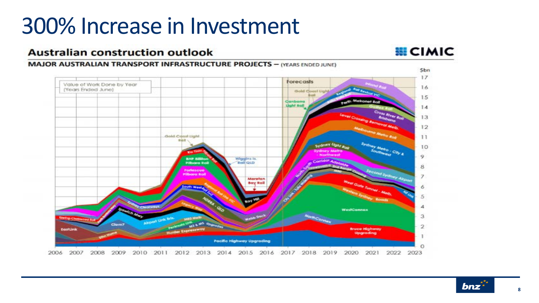## 300% Increase in Investment

#### **Australian construction outlook**

#### **慧CIMIC**

#### **MAJOR AUSTRALIAN TRANSPORT INFRASTRUCTURE PROJECTS - (YEARS ENDED JUNE)** Sbn  $17$ Forecasts Value of Work Done by Year 16 (Years Ended June) Gold Court Uph 15 14 13  $12^{12}$ Gold Coast Ught 11 10 o. Wiggins Is. **BHP SIB** Pilboro Roi **Rail GLD** 8 omesci  $\overline{z}$ Moretor Δ WestConnex 3 2 **Bruce Highway** FactLie Upgrading Pacific Highway Upgrading 2012 2013 2014 2015 2016 2017 2018 2019 2020 2006 2007 2008 2009 2010 2011 2021 2022 2023

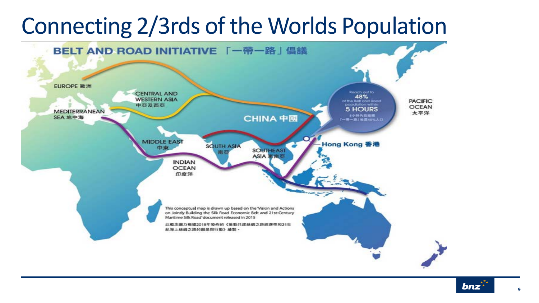## Connecting 2/3rds of the Worlds Population



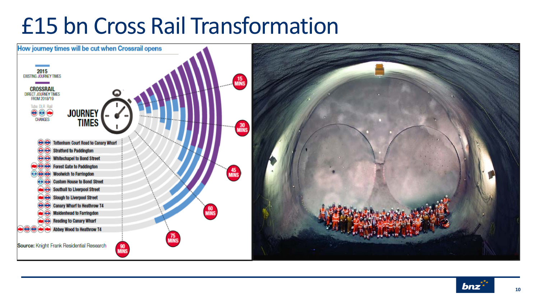## £15 bn Cross Rail Transformation



![](_page_9_Picture_2.jpeg)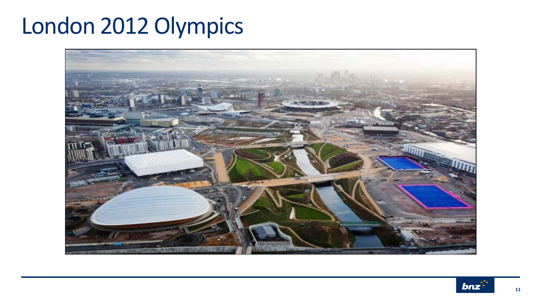## London 2012 Olympics

![](_page_10_Picture_1.jpeg)

![](_page_10_Picture_2.jpeg)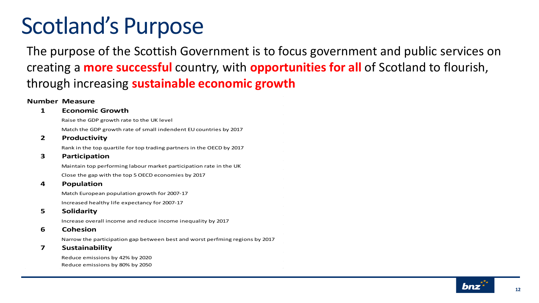## Scotland's Purpose

The purpose of the Scottish Government is to focus government and public services on creating a **more successful** country, with **opportunities for all** of Scotland to flourish, through increasing **sustainable economic growth**

#### **Number Measure**

#### **1 Economic Growth**

Raise the GDP growth rate to the UK level

Match the GDP growth rate of small indendent EU countries by 2017

#### **2 Productivity**

Rank in the top quartile for top trading partners in the OECD by 2017

#### **3 Participation**

Maintain top performing labour market participation rate in the UK Close the gap with the top 5 OECD economies by 2017

#### **4 Population**

Match European population growth for 2007-17

Increased healthy life expectancy for 2007-17

#### **5 Solidarity**

Increase overall income and reduce income inequality by 2017

#### **6 Cohesion**

Narrow the participation gap between best and worst perfming regions by 2017

#### **7 Sustainability**

Reduce emissions by 42% by 2020 Reduce emissions by 80% by 2050

![](_page_11_Picture_19.jpeg)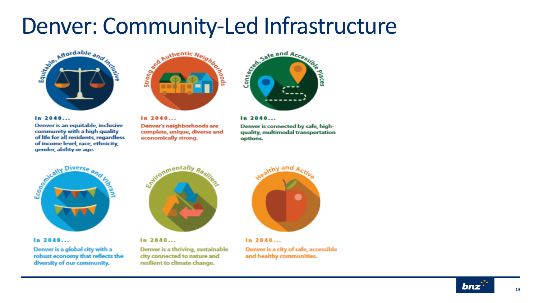# Denver: Community-Led Infrastructure

![](_page_12_Picture_1.jpeg)

 $In.2040...$ 

Denver is an equitable, inclusive community with a high quality of life for all residents, regardless of income level, race, ethnicity, gender, ability or age.

![](_page_12_Picture_4.jpeg)

 $In.2040...$ Denver's neighborhoods are complete, unique, diverse and economically strong.

![](_page_12_Picture_6.jpeg)

#### $In.2040...$

Denver is connected by safe, highquality, multimodal transportation options.

![](_page_12_Figure_9.jpeg)

 $In.2040...$ 

Denver is a global city with a robust economy that reflects the diversity of our community.

![](_page_12_Picture_12.jpeg)

 $In.2040...$ Denver is a thriving, sustainable city connected to nature and resilient to climate change.

![](_page_12_Picture_14.jpeg)

 $In.2040...$ Denver is a city of safe, accessible and healthy communities.

![](_page_12_Picture_16.jpeg)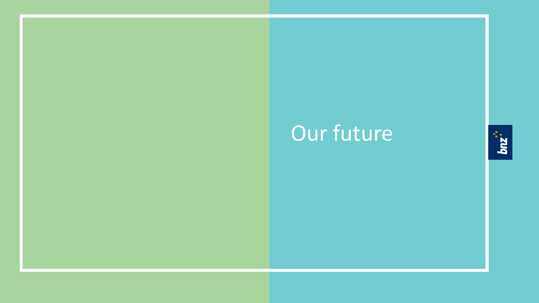## Our future

![](_page_13_Picture_1.jpeg)